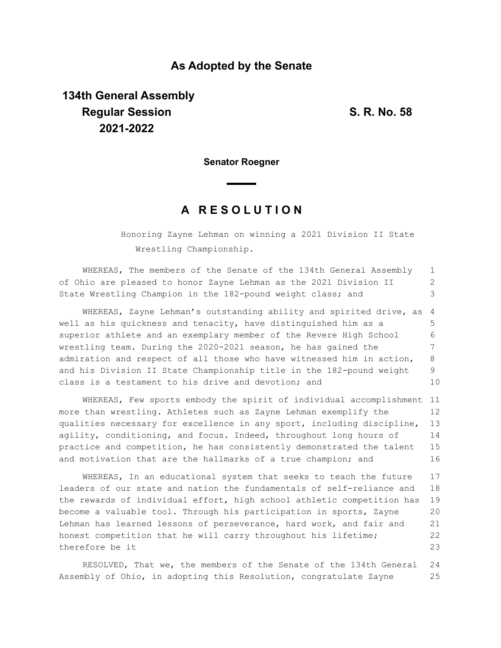### **As Adopted by the Senate**

# **134th General Assembly Regular Session S. R. No. 58 2021-2022**

**Senator Roegner**

## **A R E S O L U T I O N**

Honoring Zayne Lehman on winning a 2021 Division II State Wrestling Championship.

WHEREAS, The members of the Senate of the 134th General Assembly of Ohio are pleased to honor Zayne Lehman as the 2021 Division II State Wrestling Champion in the 182-pound weight class; and 1 2 3

WHEREAS, Zayne Lehman's outstanding ability and spirited drive, as well as his quickness and tenacity, have distinguished him as a superior athlete and an exemplary member of the Revere High School wrestling team. During the 2020-2021 season, he has gained the admiration and respect of all those who have witnessed him in action, and his Division II State Championship title in the 182-pound weight class is a testament to his drive and devotion; and 4 5 6 7 8 9 10

WHEREAS, Few sports embody the spirit of individual accomplishment 11 more than wrestling. Athletes such as Zayne Lehman exemplify the qualities necessary for excellence in any sport, including discipline, agility, conditioning, and focus. Indeed, throughout long hours of practice and competition, he has consistently demonstrated the talent and motivation that are the hallmarks of a true champion; and 12 13 14 15 16

WHEREAS, In an educational system that seeks to teach the future leaders of our state and nation the fundamentals of self-reliance and the rewards of individual effort, high school athletic competition has become a valuable tool. Through his participation in sports, Zayne Lehman has learned lessons of perseverance, hard work, and fair and honest competition that he will carry throughout his lifetime; therefore be it 17 18 19 20 21 22 23

RESOLVED, That we, the members of the Senate of the 134th General Assembly of Ohio, in adopting this Resolution, congratulate Zayne 24 25